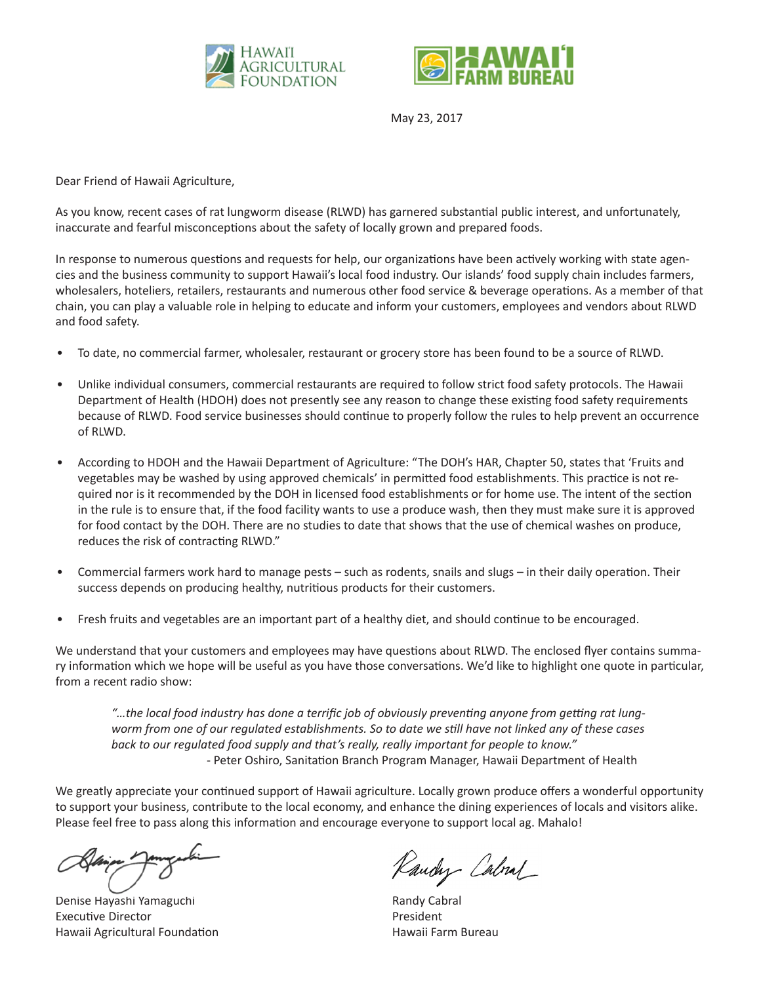



May 23, 2017

Dear Friend of Hawaii Agriculture,

As you know, recent cases of rat lungworm disease (RLWD) has garnered substantial public interest, and unfortunately, inaccurate and fearful misconceptions about the safety of locally grown and prepared foods.

In response to numerous questions and requests for help, our organizations have been actively working with state agencies and the business community to support Hawaii's local food industry. Our islands' food supply chain includes farmers, wholesalers, hoteliers, retailers, restaurants and numerous other food service & beverage operations. As a member of that chain, you can play a valuable role in helping to educate and inform your customers, employees and vendors about RLWD and food safety.

- To date, no commercial farmer, wholesaler, restaurant or grocery store has been found to be a source of RLWD.
- Unlike individual consumers, commercial restaurants are required to follow strict food safety protocols. The Hawaii Department of Health (HDOH) does not presently see any reason to change these existing food safety requirements because of RLWD. Food service businesses should continue to properly follow the rules to help prevent an occurrence of RLWD.
- According to HDOH and the Hawaii Department of Agriculture: "The DOH's HAR, Chapter 50, states that 'Fruits and vegetables may be washed by using approved chemicals' in permitted food establishments. This practice is not required nor is it recommended by the DOH in licensed food establishments or for home use. The intent of the section in the rule is to ensure that, if the food facility wants to use a produce wash, then they must make sure it is approved for food contact by the DOH. There are no studies to date that shows that the use of chemical washes on produce, reduces the risk of contracting RLWD."
- Commercial farmers work hard to manage pests such as rodents, snails and slugs in their daily operation. Their success depends on producing healthy, nutritious products for their customers.
- Fresh fruits and vegetables are an important part of a healthy diet, and should continue to be encouraged.

We understand that your customers and employees may have questions about RLWD. The enclosed flyer contains summary information which we hope will be useful as you have those conversations. We'd like to highlight one quote in particular, from a recent radio show:

*"…the local food industry has done a terrific job of obviously preventing anyone from getting rat lungworm from one of our regulated establishments. So to date we still have not linked any of these cases back to our regulated food supply and that's really, really important for people to know."* - Peter Oshiro, Sanitation Branch Program Manager, Hawaii Department of Health

We greatly appreciate your continued support of Hawaii agriculture. Locally grown produce offers a wonderful opportunity to support your business, contribute to the local economy, and enhance the dining experiences of locals and visitors alike. Please feel free to pass along this information and encourage everyone to support local ag. Mahalo!

Denise Hayashi Yamaguchi Randy Cabral Executive Director **President** Hawaii Agricultural Foundation **Hawaii Farm Bureau** Hawaii Farm Bureau

Raudy Calval